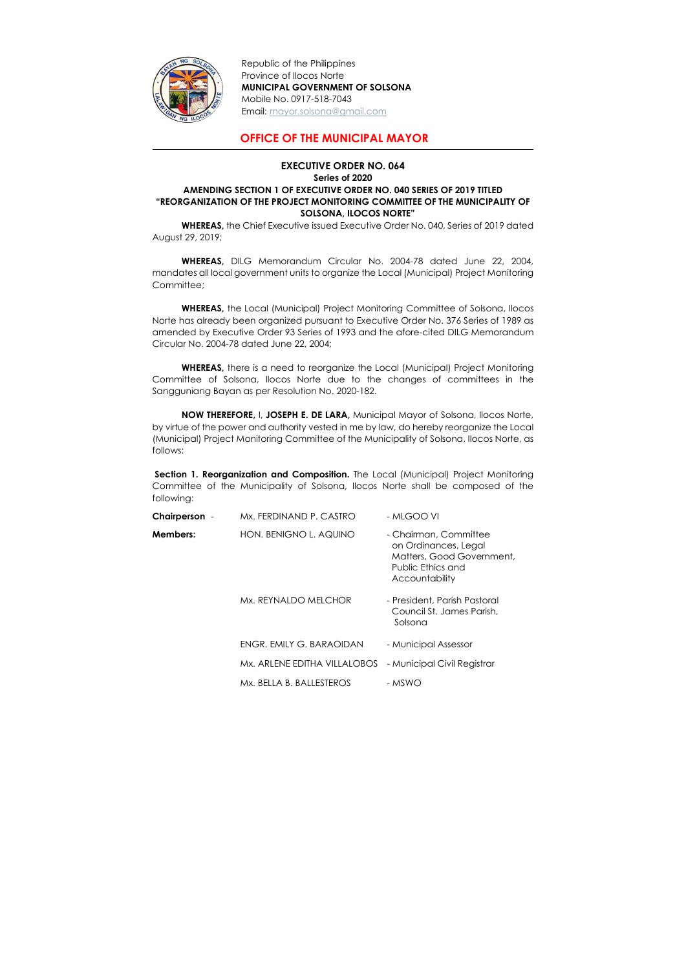

Republic of the Philippines Province of Ilocos Norte MUNICIPAL GOVERNMENT OF SOLSONA Mobile No. 0917-518-7043 Email: mayor.solsona@gmail.com

## OFFICE OF THE MUNICIPAL MAYOR

WHEREAS, DILG Memorandum Circular No. 2004-78 dated June 22, 2004, mandates all local government units to organize the Local (Municipal) Project Monitoring Committee;

## EXECUTIVE ORDER NO. 064 Series of 2020 AMENDING SECTION 1 OF EXECUTIVE ORDER NO. 040 SERIES OF 2019 TITLED "REORGANIZATION OF THE PROJECT MONITORING COMMITTEE OF THE MUNICIPALITY OF SOLSONA, ILOCOS NORTE"

WHEREAS, the Chief Executive issued Executive Order No. 040, Series of 2019 dated August 29, 2019;

Section 1. Reorganization and Composition. The Local (Municipal) Project Monitoring Committee of the Municipality of Solsona, Ilocos Norte shall be composed of the following:

WHEREAS, the Local (Municipal) Project Monitoring Committee of Solsona, Ilocos Norte has already been organized pursuant to Executive Order No. 376 Series of 1989 as amended by Executive Order 93 Series of 1993 and the afore-cited DILG Memorandum Circular No. 2004-78 dated June 22, 2004;

WHEREAS, there is a need to reorganize the Local (Municipal) Project Monitoring Committee of Solsona, Ilocos Norte due to the changes of committees in the Sangguniang Bayan as per Resolution No. 2020-182.

NOW THEREFORE, I, JOSEPH E. DE LARA, Municipal Mayor of Solsona, Ilocos Norte, by virtue of the power and authority vested in me by law, do hereby reorganize the Local (Municipal) Project Monitoring Committee of the Municipality of Solsona, Ilocos Norte, as follows:

| Chairperson - | Mx. FERDINAND P. CASTRO      | - MLGOO VI                                                                                                        |
|---------------|------------------------------|-------------------------------------------------------------------------------------------------------------------|
| Members:      | HON. BENIGNO L. AQUINO       | - Chairman, Committee<br>on Ordinances, Legal<br>Matters, Good Government,<br>Public Ethics and<br>Accountability |
|               | Mx. REYNALDO MELCHOR         | - President, Parish Pastoral<br>Council St. James Parish,<br>Solsona                                              |
|               | ENGR. EMILY G. BARAOIDAN     | - Municipal Assessor                                                                                              |
|               | Mx. ARLENE EDITHA VILLALOBOS | - Municipal Civil Registrar                                                                                       |
|               | Mx. BELLA B. BALLESTEROS     | - MSWO                                                                                                            |